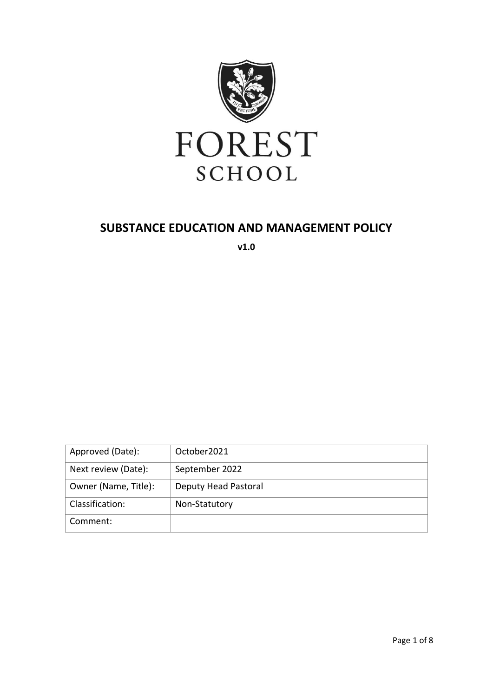

# **SUBSTANCE EDUCATION AND MANAGEMENT POLICY**

**v1.0**

| Approved (Date):     | October 2021         |
|----------------------|----------------------|
| Next review (Date):  | September 2022       |
| Owner (Name, Title): | Deputy Head Pastoral |
| Classification:      | Non-Statutory        |
| Comment:             |                      |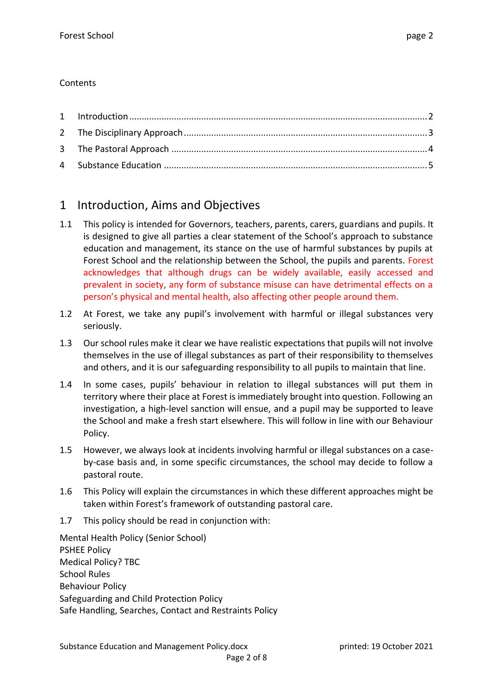## **Contents**

# 1 Introduction, Aims and Objectives

- 1.1 This policy is intended for Governors, teachers, parents, carers, guardians and pupils. It is designed to give all parties a clear statement of the School's approach to substance education and management, its stance on the use of harmful substances by pupils at Forest School and the relationship between the School, the pupils and parents. Forest acknowledges that although drugs can be widely available, easily accessed and prevalent in society, any form of substance misuse can have detrimental effects on a person's physical and mental health, also affecting other people around them.
- 1.2 At Forest, we take any pupil's involvement with harmful or illegal substances very seriously.
- 1.3 Our school rules make it clear we have realistic expectations that pupils will not involve themselves in the use of illegal substances as part of their responsibility to themselves and others, and it is our safeguarding responsibility to all pupils to maintain that line.
- 1.4 In some cases, pupils' behaviour in relation to illegal substances will put them in territory where their place at Forest is immediately brought into question. Following an investigation, a high-level sanction will ensue, and a pupil may be supported to leave the School and make a fresh start elsewhere. This will follow in line with our Behaviour Policy.
- 1.5 However, we always look at incidents involving harmful or illegal substances on a caseby-case basis and, in some specific circumstances, the school may decide to follow a pastoral route.
- 1.6 This Policy will explain the circumstances in which these different approaches might be taken within Forest's framework of outstanding pastoral care.
- 1.7 This policy should be read in conjunction with:

Mental Health Policy (Senior School) PSHEE Policy Medical Policy? TBC School Rules Behaviour Policy Safeguarding and Child Protection Policy Safe Handling, Searches, Contact and Restraints Policy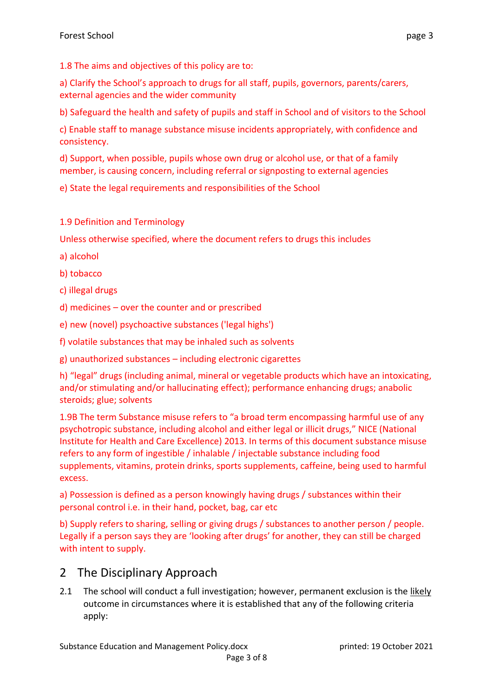1.8 The aims and objectives of this policy are to:

a) Clarify the School's approach to drugs for all staff, pupils, governors, parents/carers, external agencies and the wider community

b) Safeguard the health and safety of pupils and staff in School and of visitors to the School

c) Enable staff to manage substance misuse incidents appropriately, with confidence and consistency.

d) Support, when possible, pupils whose own drug or alcohol use, or that of a family member, is causing concern, including referral or signposting to external agencies

e) State the legal requirements and responsibilities of the School

1.9 Definition and Terminology

Unless otherwise specified, where the document refers to drugs this includes

- a) alcohol
- b) tobacco
- c) illegal drugs
- d) medicines over the counter and or prescribed
- e) new (novel) psychoactive substances ('legal highs')
- f) volatile substances that may be inhaled such as solvents
- g) unauthorized substances including electronic cigarettes

h) "legal" drugs (including animal, mineral or vegetable products which have an intoxicating, and/or stimulating and/or hallucinating effect); performance enhancing drugs; anabolic steroids; glue; solvents

1.9B The term Substance misuse refers to "a broad term encompassing harmful use of any psychotropic substance, including alcohol and either legal or illicit drugs," NICE (National Institute for Health and Care Excellence) 2013. In terms of this document substance misuse refers to any form of ingestible / inhalable / injectable substance including food supplements, vitamins, protein drinks, sports supplements, caffeine, being used to harmful excess.

a) Possession is defined as a person knowingly having drugs / substances within their personal control i.e. in their hand, pocket, bag, car etc

b) Supply refers to sharing, selling or giving drugs / substances to another person / people. Legally if a person says they are 'looking after drugs' for another, they can still be charged with intent to supply.

# 2 The Disciplinary Approach

2.1 The school will conduct a full investigation; however, permanent exclusion is the likely outcome in circumstances where it is established that any of the following criteria apply: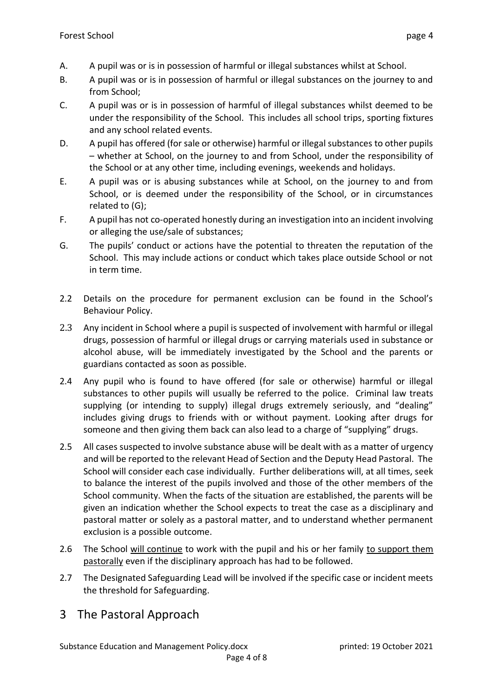- A. A pupil was or is in possession of harmful or illegal substances whilst at School.
- B. A pupil was or is in possession of harmful or illegal substances on the journey to and from School;
- C. A pupil was or is in possession of harmful of illegal substances whilst deemed to be under the responsibility of the School. This includes all school trips, sporting fixtures and any school related events.
- D. A pupil has offered (for sale or otherwise) harmful or illegal substances to other pupils – whether at School, on the journey to and from School, under the responsibility of the School or at any other time, including evenings, weekends and holidays.
- E. A pupil was or is abusing substances while at School, on the journey to and from School, or is deemed under the responsibility of the School, or in circumstances related to (G);
- F. A pupil has not co-operated honestly during an investigation into an incident involving or alleging the use/sale of substances;
- G. The pupils' conduct or actions have the potential to threaten the reputation of the School. This may include actions or conduct which takes place outside School or not in term time.
- 2.2 Details on the procedure for permanent exclusion can be found in the School's Behaviour Policy.
- 2.3 Any incident in School where a pupil is suspected of involvement with harmful or illegal drugs, possession of harmful or illegal drugs or carrying materials used in substance or alcohol abuse, will be immediately investigated by the School and the parents or guardians contacted as soon as possible.
- 2.4 Any pupil who is found to have offered (for sale or otherwise) harmful or illegal substances to other pupils will usually be referred to the police. Criminal law treats supplying (or intending to supply) illegal drugs extremely seriously, and "dealing" includes giving drugs to friends with or without payment. Looking after drugs for someone and then giving them back can also lead to a charge of "supplying" drugs.
- 2.5 All cases suspected to involve substance abuse will be dealt with as a matter of urgency and will be reported to the relevant Head of Section and the Deputy Head Pastoral. The School will consider each case individually. Further deliberations will, at all times, seek to balance the interest of the pupils involved and those of the other members of the School community. When the facts of the situation are established, the parents will be given an indication whether the School expects to treat the case as a disciplinary and pastoral matter or solely as a pastoral matter, and to understand whether permanent exclusion is a possible outcome.
- 2.6 The School will continue to work with the pupil and his or her family to support them pastorally even if the disciplinary approach has had to be followed.
- 2.7 The Designated Safeguarding Lead will be involved if the specific case or incident meets the threshold for Safeguarding.
- 3 The Pastoral Approach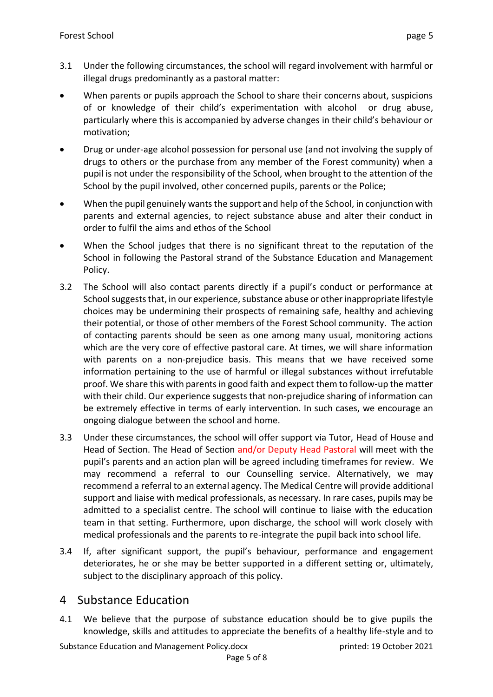- 3.1 Under the following circumstances, the school will regard involvement with harmful or illegal drugs predominantly as a pastoral matter:
- When parents or pupils approach the School to share their concerns about, suspicions of or knowledge of their child's experimentation with alcohol or drug abuse, particularly where this is accompanied by adverse changes in their child's behaviour or motivation;
- Drug or under-age alcohol possession for personal use (and not involving the supply of drugs to others or the purchase from any member of the Forest community) when a pupil is not under the responsibility of the School, when brought to the attention of the School by the pupil involved, other concerned pupils, parents or the Police;
- When the pupil genuinely wants the support and help of the School, in conjunction with parents and external agencies, to reject substance abuse and alter their conduct in order to fulfil the aims and ethos of the School
- When the School judges that there is no significant threat to the reputation of the School in following the Pastoral strand of the Substance Education and Management Policy.
- 3.2 The School will also contact parents directly if a pupil's conduct or performance at School suggests that, in our experience, substance abuse or other inappropriate lifestyle choices may be undermining their prospects of remaining safe, healthy and achieving their potential, or those of other members of the Forest School community. The action of contacting parents should be seen as one among many usual, monitoring actions which are the very core of effective pastoral care. At times, we will share information with parents on a non-prejudice basis. This means that we have received some information pertaining to the use of harmful or illegal substances without irrefutable proof. We share this with parents in good faith and expect them to follow-up the matter with their child. Our experience suggests that non-prejudice sharing of information can be extremely effective in terms of early intervention. In such cases, we encourage an ongoing dialogue between the school and home.
- 3.3 Under these circumstances, the school will offer support via Tutor, Head of House and Head of Section. The Head of Section and/or Deputy Head Pastoral will meet with the pupil's parents and an action plan will be agreed including timeframes for review. We may recommend a referral to our Counselling service. Alternatively, we may recommend a referral to an external agency. The Medical Centre will provide additional support and liaise with medical professionals, as necessary. In rare cases, pupils may be admitted to a specialist centre. The school will continue to liaise with the education team in that setting. Furthermore, upon discharge, the school will work closely with medical professionals and the parents to re-integrate the pupil back into school life.
- 3.4 If, after significant support, the pupil's behaviour, performance and engagement deteriorates, he or she may be better supported in a different setting or, ultimately, subject to the disciplinary approach of this policy.

# 4 Substance Education

4.1 We believe that the purpose of substance education should be to give pupils the knowledge, skills and attitudes to appreciate the benefits of a healthy life-style and to

Substance Education and Management Policy.docx printed: 19 October 2021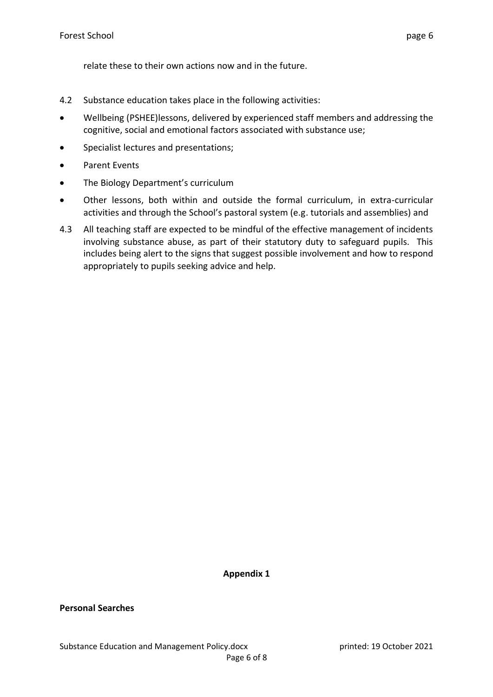relate these to their own actions now and in the future.

- 4.2 Substance education takes place in the following activities:
- Wellbeing (PSHEE)lessons, delivered by experienced staff members and addressing the cognitive, social and emotional factors associated with substance use;
- Specialist lectures and presentations;
- Parent Events
- The Biology Department's curriculum
- Other lessons, both within and outside the formal curriculum, in extra-curricular activities and through the School's pastoral system (e.g. tutorials and assemblies) and
- 4.3 All teaching staff are expected to be mindful of the effective management of incidents involving substance abuse, as part of their statutory duty to safeguard pupils. This includes being alert to the signs that suggest possible involvement and how to respond appropriately to pupils seeking advice and help.

**Appendix 1**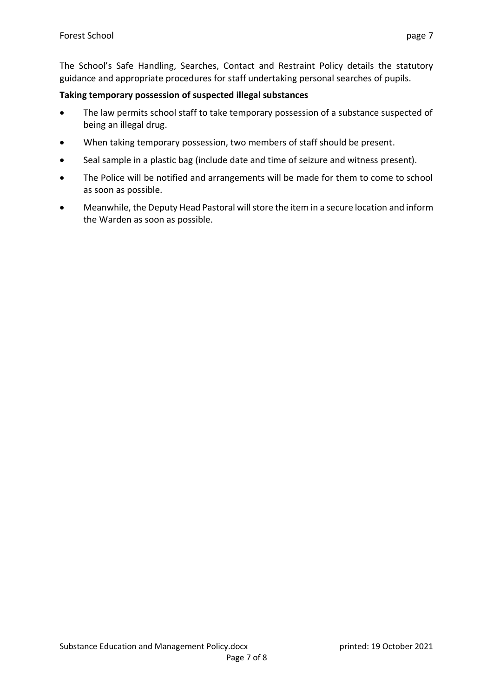The School's Safe Handling, Searches, Contact and Restraint Policy details the statutory guidance and appropriate procedures for staff undertaking personal searches of pupils.

## **Taking temporary possession of suspected illegal substances**

- The law permits school staff to take temporary possession of a substance suspected of being an illegal drug.
- When taking temporary possession, two members of staff should be present.
- Seal sample in a plastic bag (include date and time of seizure and witness present).
- The Police will be notified and arrangements will be made for them to come to school as soon as possible.
- Meanwhile, the Deputy Head Pastoral will store the item in a secure location and inform the Warden as soon as possible.